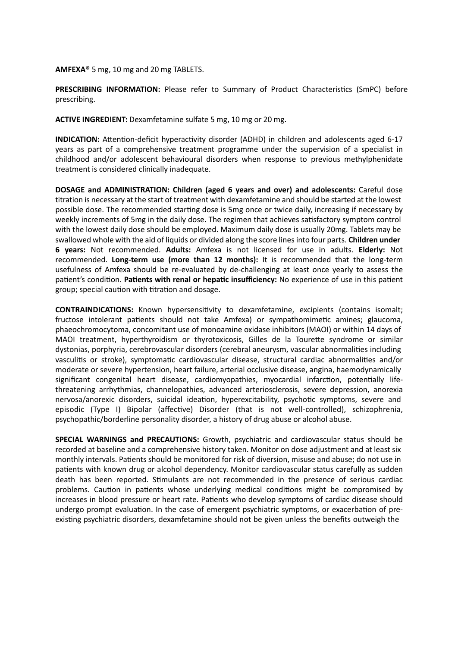**AMFEXA®** 5 mg, 10 mg and 20 mg TABLETS.

**PRESCRIBING INFORMATION:** Please refer to Summary of Product Characteristics (SmPC) before prescribing.

**ACTIVE INGREDIENT:** Dexamfetamine sulfate 5 mg, 10 mg or 20 mg.

**INDICATION:** Attention-deficit hyperactivity disorder (ADHD) in children and adolescents aged 6-17 years as part of a comprehensive treatment programme under the supervision of a specialist in childhood and/or adolescent behavioural disorders when response to previous methylphenidate treatment is considered clinically inadequate.

**DOSAGE and ADMINISTRATION: Children (aged 6 years and over) and adolescents:** Careful dose titration is necessary at the start of treatment with dexamfetamine and should be started at the lowest possible dose. The recommended starting dose is 5mg once or twice daily, increasing if necessary by weekly increments of 5mg in the daily dose. The regimen that achieves satisfactory symptom control with the lowest daily dose should be employed. Maximum daily dose is usually 20mg. Tablets may be swallowed whole with the aid of liquids or divided along the score linesinto four parts. **Children under 6 years:** Not recommended. **Adults:** Amfexa is not licensed for use in adults. **Elderly:** Not recommended. **Long-term use (more than 12 months):** It is recommended that the long-term usefulness of Amfexa should be re-evaluated by de-challenging at least once yearly to assess the patient's condition. **Patients with renal or hepatic insufficiency:** No experience of use in this patient group; special caution with titration and dosage.

**CONTRAINDICATIONS:** Known hypersensitivity to dexamfetamine, excipients (contains isomalt; fructose intolerant patients should not take Amfexa) or sympathomimetic amines; glaucoma, phaeochromocytoma, concomitant use of monoamine oxidase inhibitors (MAOI) or within 14 days of MAOI treatment, hyperthyroidism or thyrotoxicosis, Gilles de la Tourette syndrome or similar dystonias, porphyria, cerebrovascular disorders (cerebral aneurysm, vascular abnormalities including vasculitis or stroke), symptomatic cardiovascular disease, structural cardiac abnormalities and/or moderate or severe hypertension, heart failure, arterial occlusive disease, angina, haemodynamically significant congenital heart disease, cardiomyopathies, myocardial infarction, potentially lifethreatening arrhythmias, channelopathies, advanced arteriosclerosis, severe depression, anorexia nervosa/anorexic disorders, suicidal ideation, hyperexcitability, psychotic symptoms, severe and episodic (Type I) Bipolar (affective) Disorder (that is not well-controlled), schizophrenia, psychopathic/borderline personality disorder, a history of drug abuse or alcohol abuse.

**SPECIAL WARNINGS and PRECAUTIONS:** Growth, psychiatric and cardiovascular status should be recorded at baseline and a comprehensive history taken. Monitor on dose adjustment and at least six monthly intervals. Patients should be monitored for risk of diversion, misuse and abuse; do not use in patients with known drug or alcohol dependency. Monitor cardiovascular status carefully as sudden death has been reported. Stimulants are not recommended in the presence of serious cardiac problems. Caution in patients whose underlying medical conditions might be compromised by increases in blood pressure or heart rate. Patients who develop symptoms of cardiac disease should undergo prompt evaluation. In the case of emergent psychiatric symptoms, or exacerbation of preexisting psychiatric disorders, dexamfetamine should not be given unless the benefits outweigh the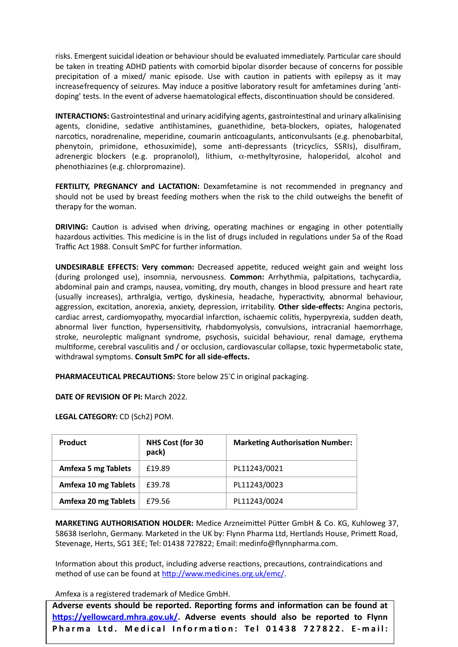risks. Emergent suicidal ideation or behaviour should be evaluated immediately. Particular care should be taken in treating ADHD patients with comorbid bipolar disorder because of concerns for possible precipitation of a mixed/ manic episode. Use with caution in patients with epilepsy as it may increasefrequency of seizures. May induce a positive laboratory result for amfetamines during 'antidoping' tests. In the event of adverse haematological effects, discontinuation should be considered.

**INTERACTIONS:** Gastrointestinal and urinary acidifying agents, gastrointestinal and urinary alkalinising agents, clonidine, sedative antihistamines, guanethidine, beta-blockers, opiates, halogenated narcotics, noradrenaline, meperidine, coumarin anticoagulants, anticonvulsants (e.g. phenobarbital, phenytoin, primidone, ethosuximide), some anti-depressants (tricyclics, SSRIs), disulfiram, adrenergic blockers (e.g. propranolol), lithium,  $\alpha$ -methyltyrosine, haloperidol, alcohol and phenothiazines (e.g. chlorpromazine).

**FERTILITY, PREGNANCY and LACTATION:** Dexamfetamine is not recommended in pregnancy and should not be used by breast feeding mothers when the risk to the child outweighs the benefit of therapy for the woman.

**DRIVING:** Caution is advised when driving, operating machines or engaging in other potentially hazardous activities. This medicine is in the list of drugs included in regulations under 5a of the Road Traffic Act 1988. Consult SmPC for further information.

**UNDESIRABLE EFFECTS: Very common:** Decreased appetite, reduced weight gain and weight loss (during prolonged use), insomnia, nervousness. **Common:** Arrhythmia, palpitations, tachycardia, abdominal pain and cramps, nausea, vomiting, dry mouth, changes in blood pressure and heart rate (usually increases), arthralgia, vertigo, dyskinesia, headache, hyperactivity, abnormal behaviour, aggression, excitation, anorexia, anxiety, depression, irritability. **Other side-effects:** Angina pectoris, cardiac arrest, cardiomyopathy, myocardial infarction, ischaemic colitis, hyperpyrexia, sudden death, abnormal liver function, hypersensitivity, rhabdomyolysis, convulsions, intracranial haemorrhage, stroke, neuroleptic malignant syndrome, psychosis, suicidal behaviour, renal damage, erythema multiforme, cerebral vasculitis and / or occlusion, cardiovascular collapse, toxic hypermetabolic state, withdrawal symptoms. **Consult SmPC for all side-effects.**

**PHARMACEUTICAL PRECAUTIONS:** Store below 25°C in original packaging.

**DATE OF REVISION OF PI:** March 2022.

**LEGAL CATEGORY:** CD (Sch2) POM.

| Product                    | <b>NHS Cost (for 30</b><br>pack) | <b>Marketing Authorisation Number:</b> |
|----------------------------|----------------------------------|----------------------------------------|
| <b>Amfexa 5 mg Tablets</b> | £19.89                           | PL11243/0021                           |
| Amfexa 10 mg Tablets       | £39.78                           | PL11243/0023                           |
| Amfexa 20 mg Tablets       | £79.56                           | PL11243/0024                           |

**MARKETING AUTHORISATION HOLDER:** Medice Arzneimittel Pütter GmbH & Co. KG, Kuhloweg 37, 58638 Iserlohn, Germany. Marketed in the UK by: Flynn Pharma Ltd, Hertlands House, Primett Road, Stevenage, Herts, SG1 3EE; Tel: 01438 727822; Email: [medinfo@flynnpharma.com.](mailto:medinfo@flynnpharma.com)

Information about this product, including adverse reactions, precautions, contraindications and method of use can be found at [http://www.medicines.org.uk/emc/.](http://www.medicines.org.uk/emc/)

Amfexa is a registered trademark of Medice GmbH.

**Adverse events should be reported. Reporting forms and information can be found at [https://yellowcard.mhra.gov.uk/](http://www.mhra.gov.uk/yellowcard). Adverse events should also be reported to Flynn Pharma L t d . M e d i c a l Informa ti on: Tel 01438 7 2 7 8 2 2 . E - m a i l :**